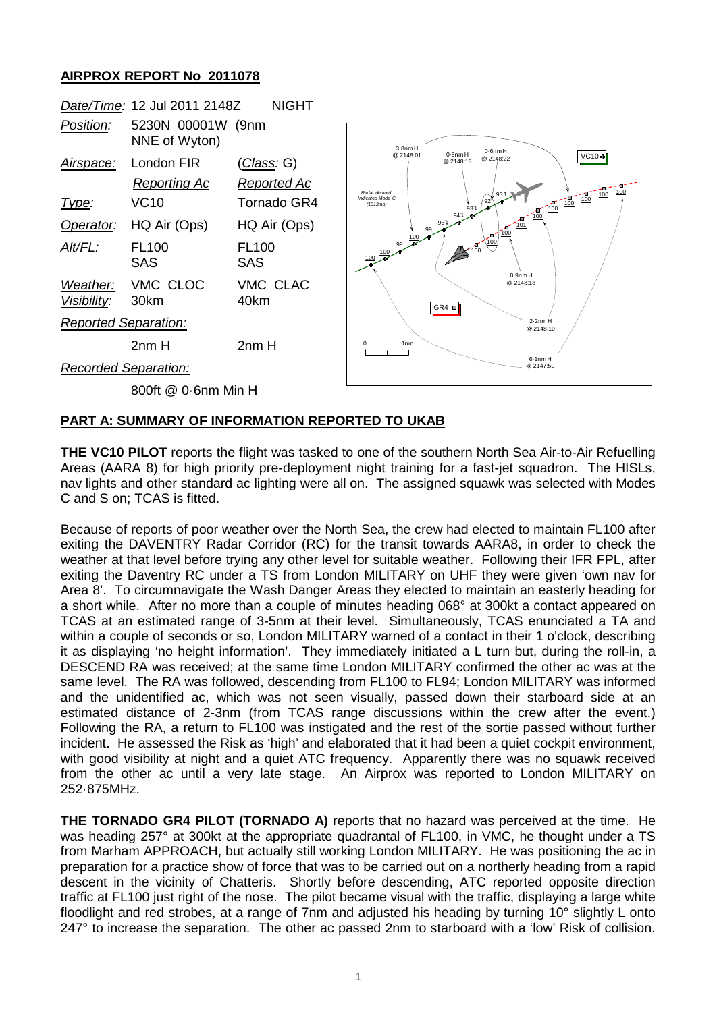## **AIRPROX REPORT No 2011078**

|                             | Date/Time: 12 Jul 2011 2148Z       | NIGHT                             |
|-----------------------------|------------------------------------|-----------------------------------|
| Position:                   | 5230N 00001W (9nm<br>NNE of Wyton) |                                   |
| <u>Airspace:</u>            | London FIR<br><b>Reporting Ac</b>  | <u>(Class</u> : G)<br>Reported Ac |
| lype:                       | <b>VC10</b>                        | Tornado GR4                       |
| Operator:                   | HQ Air (Ops)                       | HQ Air (Ops)                      |
| Alt/FL:                     | <b>FL100</b><br>SAS                | <b>FL100</b><br>SAS               |
| Visibility:                 | Weather: VMC CLOC<br>30km          | VMC CLAC<br>40km                  |
| <b>Reported Separation:</b> |                                    |                                   |
|                             | 2nm H                              | 2nm H                             |
| Recorded Separation:        |                                    |                                   |



800ft @ 0·6nm Min H

## **PART A: SUMMARY OF INFORMATION REPORTED TO UKAB**

**THE VC10 PILOT** reports the flight was tasked to one of the southern North Sea Air-to-Air Refuelling Areas (AARA 8) for high priority pre-deployment night training for a fast-jet squadron. The HISLs, nav lights and other standard ac lighting were all on. The assigned squawk was selected with Modes C and S on; TCAS is fitted.

Because of reports of poor weather over the North Sea, the crew had elected to maintain FL100 after exiting the DAVENTRY Radar Corridor (RC) for the transit towards AARA8, in order to check the weather at that level before trying any other level for suitable weather. Following their IFR FPL, after exiting the Daventry RC under a TS from London MILITARY on UHF they were given 'own nav for Area 8'. To circumnavigate the Wash Danger Areas they elected to maintain an easterly heading for a short while. After no more than a couple of minutes heading 068° at 300kt a contact appeared on TCAS at an estimated range of 3-5nm at their level. Simultaneously, TCAS enunciated a TA and within a couple of seconds or so, London MILITARY warned of a contact in their 1 o'clock, describing it as displaying 'no height information'. They immediately initiated a L turn but, during the roll-in, a DESCEND RA was received; at the same time London MILITARY confirmed the other ac was at the same level. The RA was followed, descending from FL100 to FL94; London MILITARY was informed and the unidentified ac, which was not seen visually, passed down their starboard side at an estimated distance of 2-3nm (from TCAS range discussions within the crew after the event.) Following the RA, a return to FL100 was instigated and the rest of the sortie passed without further incident. He assessed the Risk as 'high' and elaborated that it had been a quiet cockpit environment, with good visibility at night and a quiet ATC frequency. Apparently there was no squawk received from the other ac until a very late stage. An Airprox was reported to London MILITARY on 252·875MHz.

**THE TORNADO GR4 PILOT (TORNADO A)** reports that no hazard was perceived at the time. He was heading 257° at 300kt at the appropriate quadrantal of FL100, in VMC, he thought under a TS from Marham APPROACH, but actually still working London MILITARY. He was positioning the ac in preparation for a practice show of force that was to be carried out on a northerly heading from a rapid descent in the vicinity of Chatteris. Shortly before descending, ATC reported opposite direction traffic at FL100 just right of the nose. The pilot became visual with the traffic, displaying a large white floodlight and red strobes, at a range of 7nm and adjusted his heading by turning 10° slightly L onto 247° to increase the separation. The other ac passed 2nm to starboard with a 'low' Risk of collision.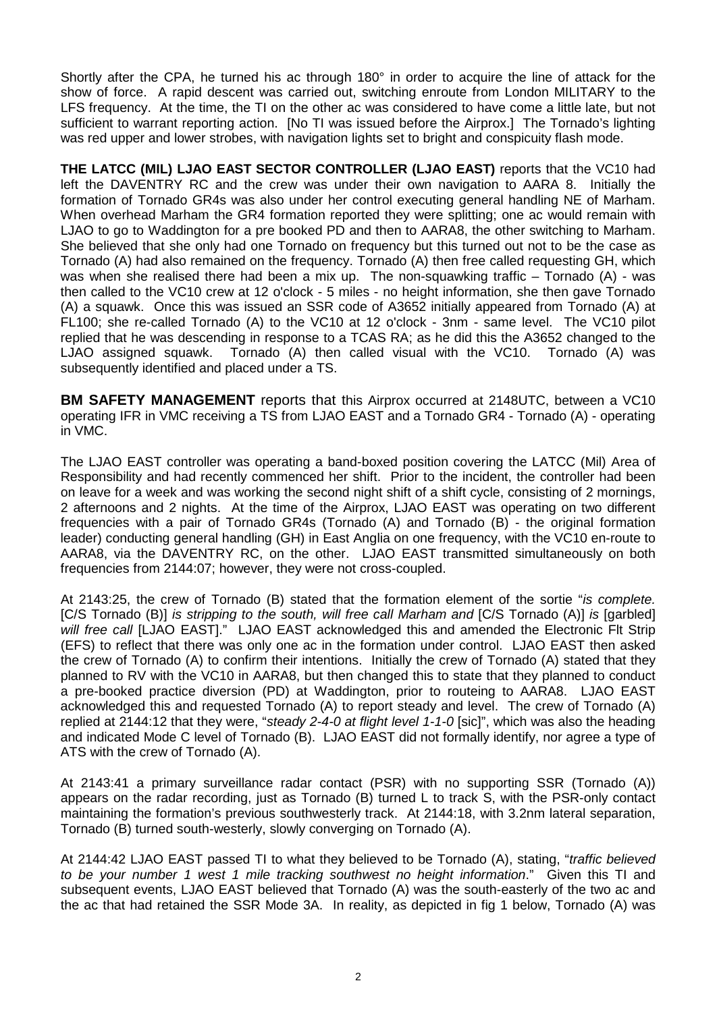Shortly after the CPA, he turned his ac through 180° in order to acquire the line of attack for the show of force. A rapid descent was carried out, switching enroute from London MILITARY to the LFS frequency. At the time, the TI on the other ac was considered to have come a little late, but not sufficient to warrant reporting action. [No TI was issued before the Airprox.] The Tornado's lighting was red upper and lower strobes, with navigation lights set to bright and conspicuity flash mode.

**THE LATCC (MIL) LJAO EAST SECTOR CONTROLLER (LJAO EAST)** reports that the VC10 had left the DAVENTRY RC and the crew was under their own navigation to AARA 8. Initially the formation of Tornado GR4s was also under her control executing general handling NE of Marham. When overhead Marham the GR4 formation reported they were splitting; one ac would remain with LJAO to go to Waddington for a pre booked PD and then to AARA8, the other switching to Marham. She believed that she only had one Tornado on frequency but this turned out not to be the case as Tornado (A) had also remained on the frequency. Tornado (A) then free called requesting GH, which was when she realised there had been a mix up. The non-squawking traffic – Tornado (A) - was then called to the VC10 crew at 12 o'clock - 5 miles - no height information, she then gave Tornado (A) a squawk. Once this was issued an SSR code of A3652 initially appeared from Tornado (A) at FL100; she re-called Tornado (A) to the VC10 at 12 o'clock - 3nm - same level. The VC10 pilot replied that he was descending in response to a TCAS RA; as he did this the A3652 changed to the LJAO assigned squawk. Tornado (A) then called visual with the VC10. Tornado (A) was subsequently identified and placed under a TS.

**BM SAFETY MANAGEMENT** reports that this Airprox occurred at 2148UTC, between a VC10 operating IFR in VMC receiving a TS from LJAO EAST and a Tornado GR4 - Tornado (A) - operating in VMC.

The LJAO EAST controller was operating a band-boxed position covering the LATCC (Mil) Area of Responsibility and had recently commenced her shift. Prior to the incident, the controller had been on leave for a week and was working the second night shift of a shift cycle, consisting of 2 mornings, 2 afternoons and 2 nights. At the time of the Airprox, LJAO EAST was operating on two different frequencies with a pair of Tornado GR4s (Tornado (A) and Tornado (B) - the original formation leader) conducting general handling (GH) in East Anglia on one frequency, with the VC10 en-route to AARA8, via the DAVENTRY RC, on the other. LJAO EAST transmitted simultaneously on both frequencies from 2144:07; however, they were not cross-coupled.

At 2143:25, the crew of Tornado (B) stated that the formation element of the sortie "*is complete.*  [C/S Tornado (B)] *is stripping to the south, will free call Marham and* [C/S Tornado (A)] *is* [garbled] *will free call* [LJAO EAST]." LJAO EAST acknowledged this and amended the Electronic Flt Strip (EFS) to reflect that there was only one ac in the formation under control. LJAO EAST then asked the crew of Tornado (A) to confirm their intentions. Initially the crew of Tornado (A) stated that they planned to RV with the VC10 in AARA8, but then changed this to state that they planned to conduct a pre-booked practice diversion (PD) at Waddington, prior to routeing to AARA8. LJAO EAST acknowledged this and requested Tornado (A) to report steady and level. The crew of Tornado (A) replied at 2144:12 that they were, "*steady 2-4-0 at flight level 1-1-0* [sic]", which was also the heading and indicated Mode C level of Tornado (B). LJAO EAST did not formally identify, nor agree a type of ATS with the crew of Tornado (A).

At 2143:41 a primary surveillance radar contact (PSR) with no supporting SSR (Tornado (A)) appears on the radar recording, just as Tornado (B) turned L to track S, with the PSR-only contact maintaining the formation's previous southwesterly track. At 2144:18, with 3.2nm lateral separation, Tornado (B) turned south-westerly, slowly converging on Tornado (A).

At 2144:42 LJAO EAST passed TI to what they believed to be Tornado (A), stating, "*traffic believed to be your number 1 west 1 mile tracking southwest no height information*." Given this TI and subsequent events, LJAO EAST believed that Tornado (A) was the south-easterly of the two ac and the ac that had retained the SSR Mode 3A. In reality, as depicted in fig 1 below, Tornado (A) was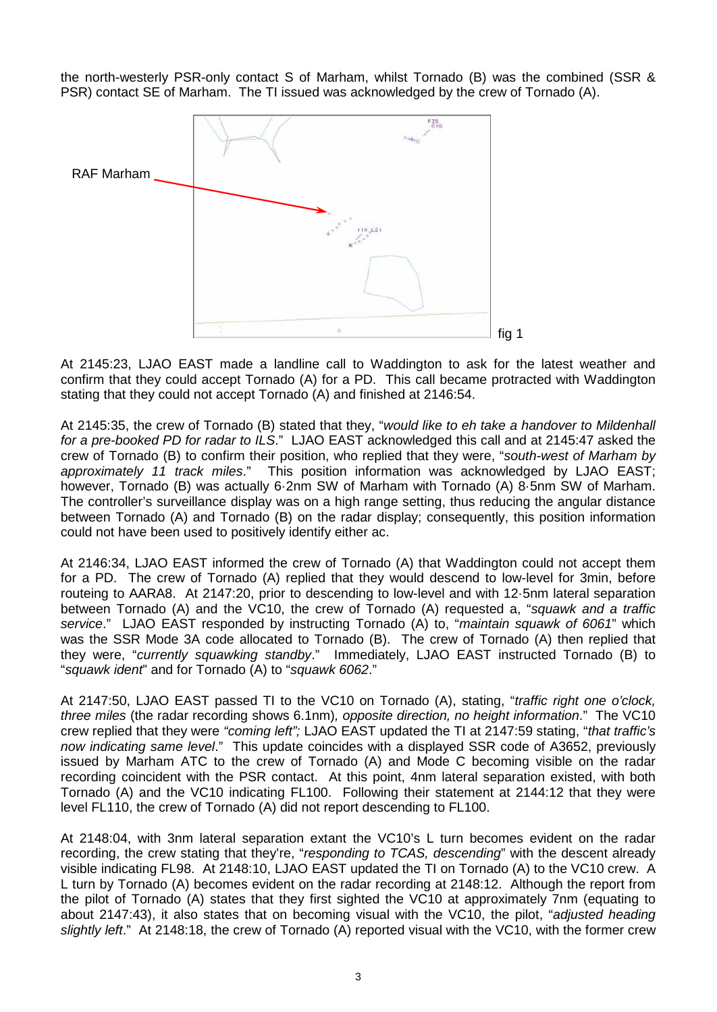the north-westerly PSR-only contact S of Marham, whilst Tornado (B) was the combined (SSR & PSR) contact SE of Marham. The TI issued was acknowledged by the crew of Tornado (A).



At 2145:23, LJAO EAST made a landline call to Waddington to ask for the latest weather and confirm that they could accept Tornado (A) for a PD. This call became protracted with Waddington stating that they could not accept Tornado (A) and finished at 2146:54.

At 2145:35, the crew of Tornado (B) stated that they, "*would like to eh take a handover to Mildenhall for a pre-booked PD for radar to ILS*." LJAO EAST acknowledged this call and at 2145:47 asked the crew of Tornado (B) to confirm their position, who replied that they were, "*south-west of Marham by approximately 11 track miles*." This position information was acknowledged by LJAO EAST; however, Tornado (B) was actually 6·2nm SW of Marham with Tornado (A) 8·5nm SW of Marham. The controller's surveillance display was on a high range setting, thus reducing the angular distance between Tornado (A) and Tornado (B) on the radar display; consequently, this position information could not have been used to positively identify either ac.

At 2146:34, LJAO EAST informed the crew of Tornado (A) that Waddington could not accept them for a PD. The crew of Tornado (A) replied that they would descend to low-level for 3min, before routeing to AARA8. At 2147:20, prior to descending to low-level and with 12·5nm lateral separation between Tornado (A) and the VC10, the crew of Tornado (A) requested a, "*squawk and a traffic service*." LJAO EAST responded by instructing Tornado (A) to, "*maintain squawk of 6061*" which was the SSR Mode 3A code allocated to Tornado (B). The crew of Tornado (A) then replied that they were, "*currently squawking standby*." Immediately, LJAO EAST instructed Tornado (B) to "*squawk ident*" and for Tornado (A) to "*squawk 6062*."

At 2147:50, LJAO EAST passed TI to the VC10 on Tornado (A), stating, "*traffic right one o'clock, three miles* (the radar recording shows 6.1nm)*, opposite direction, no height information*." The VC10 crew replied that they were *"coming left";* LJAO EAST updated the TI at 2147:59 stating, "*that traffic's now indicating same level*." This update coincides with a displayed SSR code of A3652, previously issued by Marham ATC to the crew of Tornado (A) and Mode C becoming visible on the radar recording coincident with the PSR contact. At this point, 4nm lateral separation existed, with both Tornado (A) and the VC10 indicating FL100. Following their statement at 2144:12 that they were level FL110, the crew of Tornado (A) did not report descending to FL100.

At 2148:04, with 3nm lateral separation extant the VC10's L turn becomes evident on the radar recording, the crew stating that they're, "*responding to TCAS, descending*" with the descent already visible indicating FL98. At 2148:10, LJAO EAST updated the TI on Tornado (A) to the VC10 crew. A L turn by Tornado (A) becomes evident on the radar recording at 2148:12. Although the report from the pilot of Tornado (A) states that they first sighted the VC10 at approximately 7nm (equating to about 2147:43), it also states that on becoming visual with the VC10, the pilot, "*adjusted heading slightly left*." At 2148:18, the crew of Tornado (A) reported visual with the VC10, with the former crew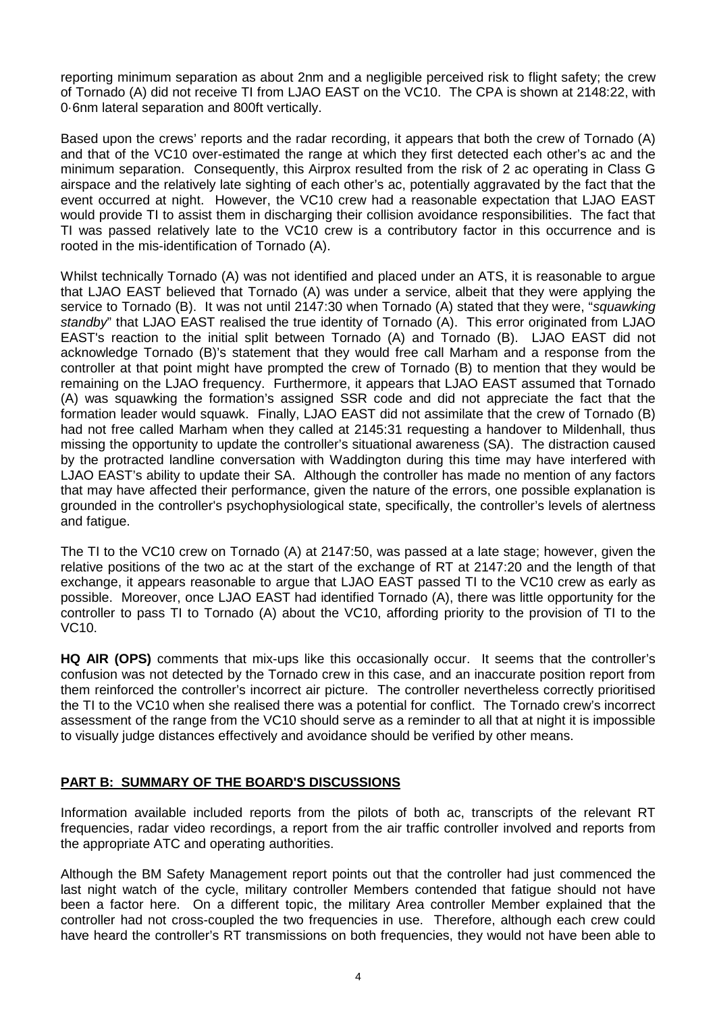reporting minimum separation as about 2nm and a negligible perceived risk to flight safety; the crew of Tornado (A) did not receive TI from LJAO EAST on the VC10. The CPA is shown at 2148:22, with 0·6nm lateral separation and 800ft vertically.

Based upon the crews' reports and the radar recording, it appears that both the crew of Tornado (A) and that of the VC10 over-estimated the range at which they first detected each other's ac and the minimum separation. Consequently, this Airprox resulted from the risk of 2 ac operating in Class G airspace and the relatively late sighting of each other's ac, potentially aggravated by the fact that the event occurred at night. However, the VC10 crew had a reasonable expectation that LJAO EAST would provide TI to assist them in discharging their collision avoidance responsibilities. The fact that TI was passed relatively late to the VC10 crew is a contributory factor in this occurrence and is rooted in the mis-identification of Tornado (A).

Whilst technically Tornado (A) was not identified and placed under an ATS, it is reasonable to argue that LJAO EAST believed that Tornado (A) was under a service, albeit that they were applying the service to Tornado (B). It was not until 2147:30 when Tornado (A) stated that they were, "*squawking standby*" that LJAO EAST realised the true identity of Tornado (A). This error originated from LJAO EAST's reaction to the initial split between Tornado (A) and Tornado (B). LJAO EAST did not acknowledge Tornado (B)'s statement that they would free call Marham and a response from the controller at that point might have prompted the crew of Tornado (B) to mention that they would be remaining on the LJAO frequency. Furthermore, it appears that LJAO EAST assumed that Tornado (A) was squawking the formation's assigned SSR code and did not appreciate the fact that the formation leader would squawk. Finally, LJAO EAST did not assimilate that the crew of Tornado (B) had not free called Marham when they called at 2145:31 requesting a handover to Mildenhall, thus missing the opportunity to update the controller's situational awareness (SA). The distraction caused by the protracted landline conversation with Waddington during this time may have interfered with LJAO EAST's ability to update their SA. Although the controller has made no mention of any factors that may have affected their performance, given the nature of the errors, one possible explanation is grounded in the controller's psychophysiological state, specifically, the controller's levels of alertness and fatigue.

The TI to the VC10 crew on Tornado (A) at 2147:50, was passed at a late stage; however, given the relative positions of the two ac at the start of the exchange of RT at 2147:20 and the length of that exchange, it appears reasonable to argue that LJAO EAST passed TI to the VC10 crew as early as possible. Moreover, once LJAO EAST had identified Tornado (A), there was little opportunity for the controller to pass TI to Tornado (A) about the VC10, affording priority to the provision of TI to the VC10.

**HQ AIR (OPS)** comments that mix-ups like this occasionally occur. It seems that the controller's confusion was not detected by the Tornado crew in this case, and an inaccurate position report from them reinforced the controller's incorrect air picture. The controller nevertheless correctly prioritised the TI to the VC10 when she realised there was a potential for conflict. The Tornado crew's incorrect assessment of the range from the VC10 should serve as a reminder to all that at night it is impossible to visually judge distances effectively and avoidance should be verified by other means.

## **PART B: SUMMARY OF THE BOARD'S DISCUSSIONS**

Information available included reports from the pilots of both ac, transcripts of the relevant RT frequencies, radar video recordings, a report from the air traffic controller involved and reports from the appropriate ATC and operating authorities.

Although the BM Safety Management report points out that the controller had just commenced the last night watch of the cycle, military controller Members contended that fatigue should not have been a factor here. On a different topic, the military Area controller Member explained that the controller had not cross-coupled the two frequencies in use. Therefore, although each crew could have heard the controller's RT transmissions on both frequencies, they would not have been able to